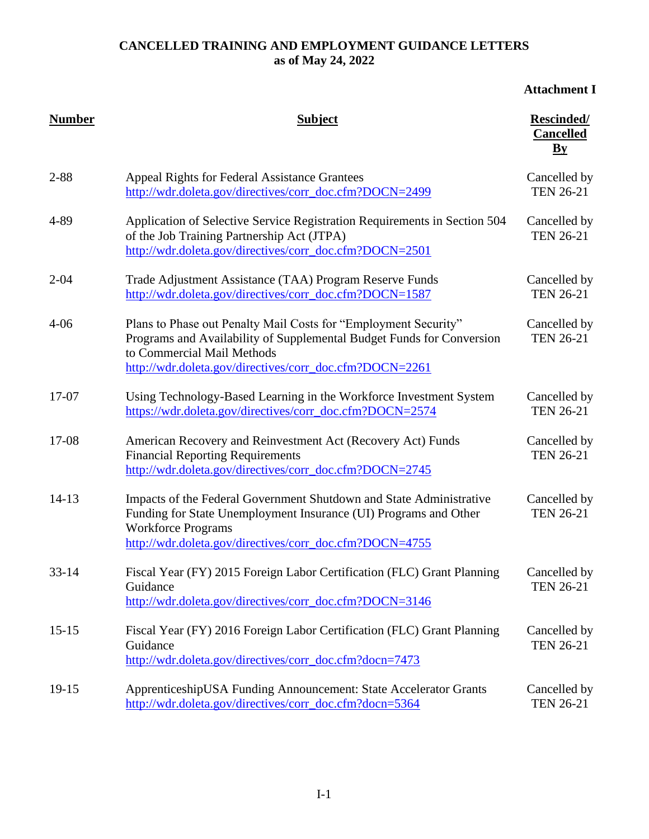# **Attachment I**

| <b>Number</b> | <b>Subject</b>                                                                                                                                                                                                                    | Rescinded/<br><b>Cancelled</b><br>$\mathbf{By}$ |
|---------------|-----------------------------------------------------------------------------------------------------------------------------------------------------------------------------------------------------------------------------------|-------------------------------------------------|
| $2 - 88$      | <b>Appeal Rights for Federal Assistance Grantees</b><br>http://wdr.doleta.gov/directives/corr_doc.cfm?DOCN=2499                                                                                                                   | Cancelled by<br><b>TEN 26-21</b>                |
| 4-89          | Application of Selective Service Registration Requirements in Section 504<br>of the Job Training Partnership Act (JTPA)<br>http://wdr.doleta.gov/directives/corr_doc.cfm?DOCN=2501                                                | Cancelled by<br><b>TEN 26-21</b>                |
| $2 - 04$      | Trade Adjustment Assistance (TAA) Program Reserve Funds<br>http://wdr.doleta.gov/directives/corr_doc.cfm?DOCN=1587                                                                                                                | Cancelled by<br><b>TEN 26-21</b>                |
| $4 - 06$      | Plans to Phase out Penalty Mail Costs for "Employment Security"<br>Programs and Availability of Supplemental Budget Funds for Conversion<br>to Commercial Mail Methods<br>http://wdr.doleta.gov/directives/corr_doc.cfm?DOCN=2261 | Cancelled by<br><b>TEN 26-21</b>                |
| 17-07         | Using Technology-Based Learning in the Workforce Investment System<br>https://wdr.doleta.gov/directives/corr_doc.cfm?DOCN=2574                                                                                                    | Cancelled by<br><b>TEN 26-21</b>                |
| 17-08         | American Recovery and Reinvestment Act (Recovery Act) Funds<br><b>Financial Reporting Requirements</b><br>http://wdr.doleta.gov/directives/corr_doc.cfm?DOCN=2745                                                                 | Cancelled by<br><b>TEN 26-21</b>                |
| $14 - 13$     | Impacts of the Federal Government Shutdown and State Administrative<br>Funding for State Unemployment Insurance (UI) Programs and Other<br><b>Workforce Programs</b><br>http://wdr.doleta.gov/directives/corr_doc.cfm?DOCN=4755   | Cancelled by<br><b>TEN 26-21</b>                |
| $33 - 14$     | Fiscal Year (FY) 2015 Foreign Labor Certification (FLC) Grant Planning<br>Guidance<br>http://wdr.doleta.gov/directives/corr_doc.cfm?DOCN=3146                                                                                     | Cancelled by<br><b>TEN 26-21</b>                |
| $15 - 15$     | Fiscal Year (FY) 2016 Foreign Labor Certification (FLC) Grant Planning<br>Guidance<br>http://wdr.doleta.gov/directives/corr_doc.cfm?docn=7473                                                                                     | Cancelled by<br><b>TEN 26-21</b>                |
| $19 - 15$     | ApprenticeshipUSA Funding Announcement: State Accelerator Grants<br>http://wdr.doleta.gov/directives/corr_doc.cfm?docn=5364                                                                                                       | Cancelled by<br><b>TEN 26-21</b>                |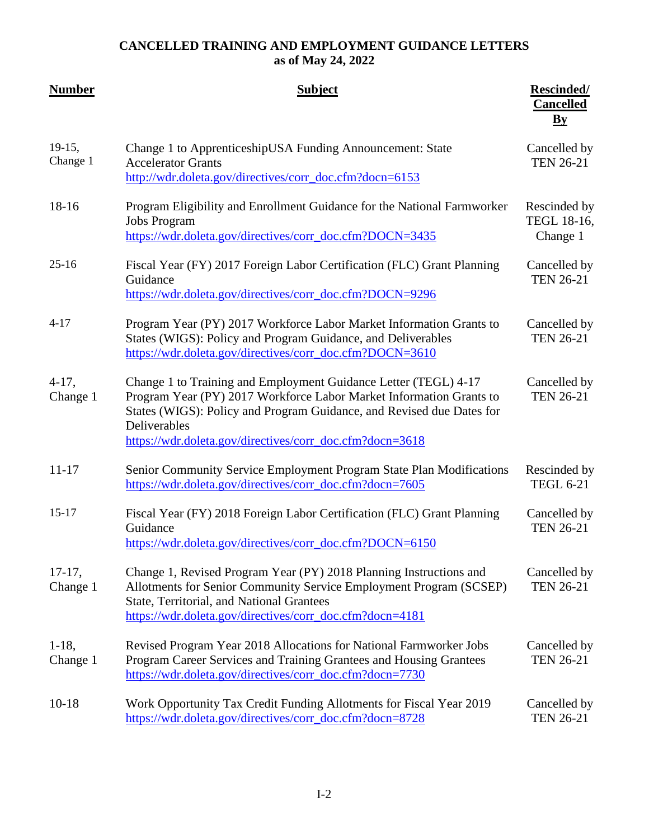| <b>Number</b>        | <b>Subject</b>                                                                                                                                                                                                                                                                              | <b>Rescinded/</b><br><b>Cancelled</b><br>$\mathbf{B}\mathbf{y}$ |
|----------------------|---------------------------------------------------------------------------------------------------------------------------------------------------------------------------------------------------------------------------------------------------------------------------------------------|-----------------------------------------------------------------|
| $19-15,$<br>Change 1 | Change 1 to ApprenticeshipUSA Funding Announcement: State<br><b>Accelerator Grants</b><br>http://wdr.doleta.gov/directives/corr_doc.cfm?docn=6153                                                                                                                                           | Cancelled by<br><b>TEN 26-21</b>                                |
| $18-16$              | Program Eligibility and Enrollment Guidance for the National Farmworker<br><b>Jobs Program</b><br>https://wdr.doleta.gov/directives/corr_doc.cfm?DOCN=3435                                                                                                                                  | Rescinded by<br>TEGL 18-16,<br>Change 1                         |
| $25 - 16$            | Fiscal Year (FY) 2017 Foreign Labor Certification (FLC) Grant Planning<br>Guidance<br>https://wdr.doleta.gov/directives/corr_doc.cfm?DOCN=9296                                                                                                                                              | Cancelled by<br><b>TEN 26-21</b>                                |
| $4 - 17$             | Program Year (PY) 2017 Workforce Labor Market Information Grants to<br>States (WIGS): Policy and Program Guidance, and Deliverables<br>https://wdr.doleta.gov/directives/corr_doc.cfm?DOCN=3610                                                                                             | Cancelled by<br><b>TEN 26-21</b>                                |
| $4-17$ ,<br>Change 1 | Change 1 to Training and Employment Guidance Letter (TEGL) 4-17<br>Program Year (PY) 2017 Workforce Labor Market Information Grants to<br>States (WIGS): Policy and Program Guidance, and Revised due Dates for<br>Deliverables<br>https://wdr.doleta.gov/directives/corr_doc.cfm?docn=3618 | Cancelled by<br><b>TEN 26-21</b>                                |
| $11 - 17$            | Senior Community Service Employment Program State Plan Modifications<br>https://wdr.doleta.gov/directives/corr_doc.cfm?docn=7605                                                                                                                                                            | Rescinded by<br><b>TEGL 6-21</b>                                |
| $15 - 17$            | Fiscal Year (FY) 2018 Foreign Labor Certification (FLC) Grant Planning<br>Guidance<br>https://wdr.doleta.gov/directives/corr_doc.cfm?DOCN=6150                                                                                                                                              | Cancelled by<br><b>TEN 26-21</b>                                |
| $17-17,$<br>Change 1 | Change 1, Revised Program Year (PY) 2018 Planning Instructions and<br>Allotments for Senior Community Service Employment Program (SCSEP)<br>State, Territorial, and National Grantees<br>https://wdr.doleta.gov/directives/corr_doc.cfm?docn=4181                                           | Cancelled by<br><b>TEN 26-21</b>                                |
| $1-18$ ,<br>Change 1 | Revised Program Year 2018 Allocations for National Farmworker Jobs<br>Program Career Services and Training Grantees and Housing Grantees<br>https://wdr.doleta.gov/directives/corr_doc.cfm?docn=7730                                                                                        | Cancelled by<br><b>TEN 26-21</b>                                |
| $10-18$              | Work Opportunity Tax Credit Funding Allotments for Fiscal Year 2019<br>https://wdr.doleta.gov/directives/corr_doc.cfm?docn=8728                                                                                                                                                             | Cancelled by<br><b>TEN 26-21</b>                                |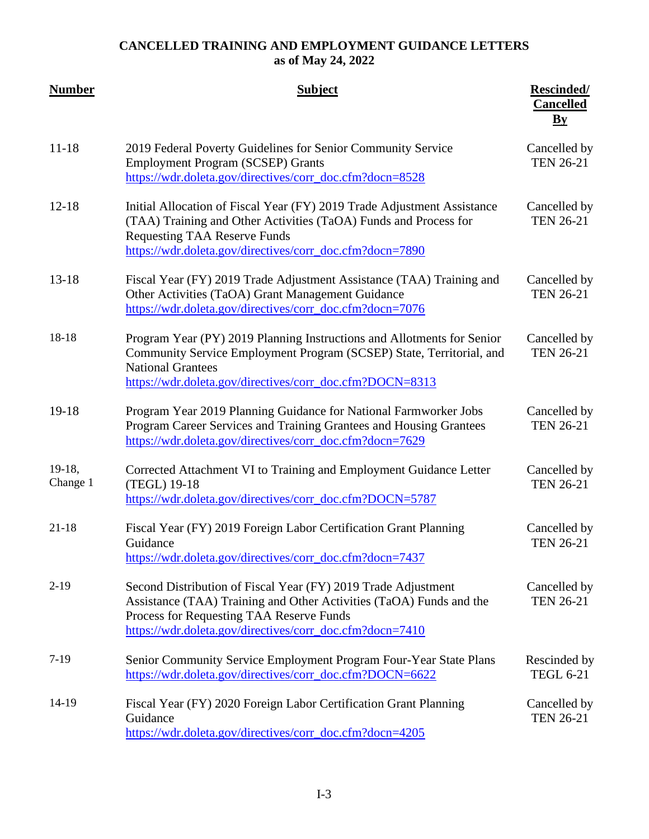| <b>Number</b>        | <b>Subject</b>                                                                                                                                                                                                                                 | <b>Rescinded/</b><br><b>Cancelled</b><br>$\mathbf{B}\mathbf{y}$ |
|----------------------|------------------------------------------------------------------------------------------------------------------------------------------------------------------------------------------------------------------------------------------------|-----------------------------------------------------------------|
| $11 - 18$            | 2019 Federal Poverty Guidelines for Senior Community Service<br><b>Employment Program (SCSEP) Grants</b><br>https://wdr.doleta.gov/directives/corr_doc.cfm?docn=8528                                                                           | Cancelled by<br><b>TEN 26-21</b>                                |
| $12 - 18$            | Initial Allocation of Fiscal Year (FY) 2019 Trade Adjustment Assistance<br>(TAA) Training and Other Activities (TaOA) Funds and Process for<br><b>Requesting TAA Reserve Funds</b><br>https://wdr.doleta.gov/directives/corr_doc.cfm?docn=7890 | Cancelled by<br><b>TEN 26-21</b>                                |
| $13 - 18$            | Fiscal Year (FY) 2019 Trade Adjustment Assistance (TAA) Training and<br>Other Activities (TaOA) Grant Management Guidance<br>https://wdr.doleta.gov/directives/corr_doc.cfm?docn=7076                                                          | Cancelled by<br><b>TEN 26-21</b>                                |
| 18-18                | Program Year (PY) 2019 Planning Instructions and Allotments for Senior<br>Community Service Employment Program (SCSEP) State, Territorial, and<br><b>National Grantees</b><br>https://wdr.doleta.gov/directives/corr_doc.cfm?DOCN=8313         | Cancelled by<br><b>TEN 26-21</b>                                |
| $19-18$              | Program Year 2019 Planning Guidance for National Farmworker Jobs<br>Program Career Services and Training Grantees and Housing Grantees<br>https://wdr.doleta.gov/directives/corr_doc.cfm?docn=7629                                             | Cancelled by<br><b>TEN 26-21</b>                                |
| $19-18,$<br>Change 1 | Corrected Attachment VI to Training and Employment Guidance Letter<br>(TEGL) 19-18<br>https://wdr.doleta.gov/directives/corr_doc.cfm?DOCN=5787                                                                                                 | Cancelled by<br><b>TEN 26-21</b>                                |
| $21-18$              | Fiscal Year (FY) 2019 Foreign Labor Certification Grant Planning<br>Guidance<br>https://wdr.doleta.gov/directives/corr_doc.cfm?docn=7437                                                                                                       | Cancelled by<br><b>TEN 26-21</b>                                |
| $2-19$               | Second Distribution of Fiscal Year (FY) 2019 Trade Adjustment<br>Assistance (TAA) Training and Other Activities (TaOA) Funds and the<br>Process for Requesting TAA Reserve Funds<br>https://wdr.doleta.gov/directives/corr_doc.cfm?docn=7410   | Cancelled by<br><b>TEN 26-21</b>                                |
| $7-19$               | Senior Community Service Employment Program Four-Year State Plans<br>https://wdr.doleta.gov/directives/corr_doc.cfm?DOCN=6622                                                                                                                  | Rescinded by<br><b>TEGL 6-21</b>                                |
| 14-19                | Fiscal Year (FY) 2020 Foreign Labor Certification Grant Planning<br>Guidance<br>https://wdr.doleta.gov/directives/corr_doc.cfm?docn=4205                                                                                                       | Cancelled by<br><b>TEN 26-21</b>                                |